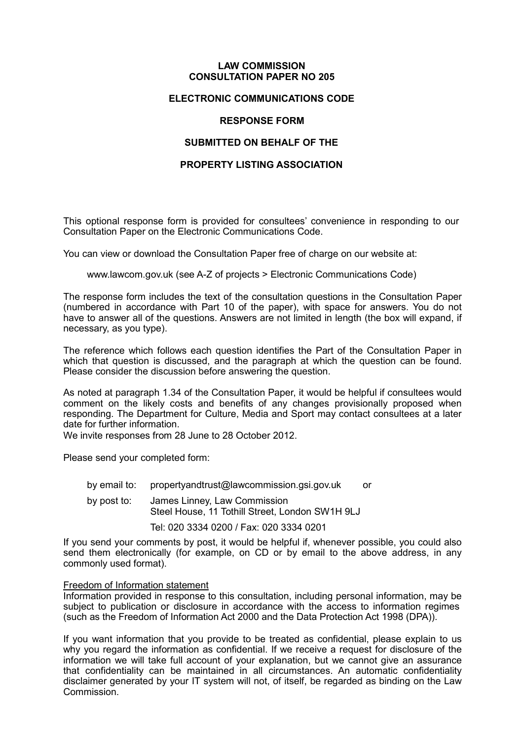#### **LAW COMMISSION CONSULTATION PAPER NO 205**

#### **ELECTRONIC COMMUNICATIONS CODE**

#### **RESPONSE FORM**

#### **SUBMITTED ON BEHALF OF THE**

#### **PROPERTY LISTING ASSOCIATION**

This optional response form is provided for consultees' convenience in responding to our Consultation Paper on the Electronic Communications Code.

You can view or download the Consultation Paper free of charge on our website at:

[www.lawcom.gov.uk](http://www.lawcom.gov.uk) (see A-Z of projects > Electronic Communications Code)

The response form includes the text of the consultation questions in the Consultation Paper (numbered in accordance with Part 10 of the paper), with space for answers. You do not have to answer all of the questions. Answers are not limited in length (the box will expand, if necessary, as you type).

The reference which follows each question identifies the Part of the Consultation Paper in which that question is discussed, and the paragraph at which the question can be found. Please consider the discussion before answering the question.

As noted at paragraph 1.34 of the Consultation Paper, it would be helpful if consultees would comment on the likely costs and benefits of any changes provisionally proposed when responding. The Department for Culture, Media and Sport may contact consultees at a later date for further information.

We invite responses from 28 June to 28 October 2012.

Please send your completed form:

by email to: [propertyandtrust@lawcommission.gsi.gov.uk](mailto:propertyandtrust@lawcommission.gsi.gov.uk) or by post to: James Linney, Law Commission Steel House, 11 Tothill Street, London SW1H 9LJ

Tel: 020 3334 0200 / Fax: 020 3334 0201

If you send your comments by post, it would be helpful if, whenever possible, you could also send them electronically (for example, on CD or by email to the above address, in any commonly used format).

#### Freedom of Information statement

Information provided in response to this consultation, including personal information, may be subject to publication or disclosure in accordance with the access to information regimes (such as the Freedom of Information Act 2000 and the Data Protection Act 1998 (DPA)).

If you want information that you provide to be treated as confidential, please explain to us why you regard the information as confidential. If we receive a request for disclosure of the information we will take full account of your explanation, but we cannot give an assurance that confidentiality can be maintained in all circumstances. An automatic confidentiality disclaimer generated by your IT system will not, of itself, be regarded as binding on the Law Commission.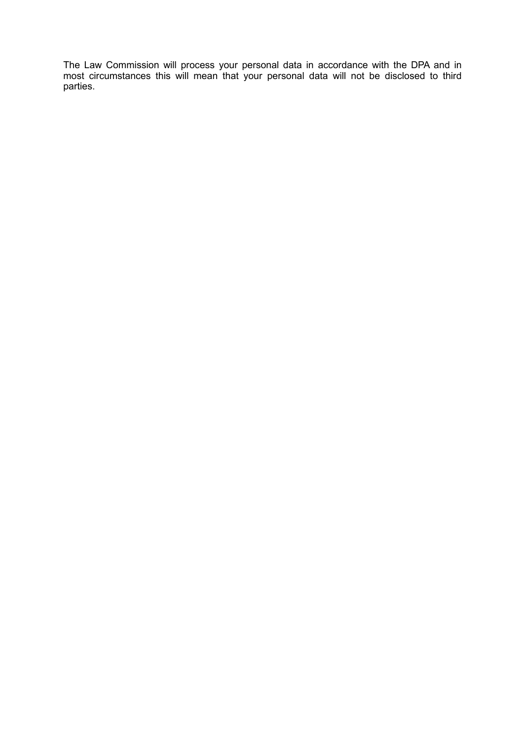The Law Commission will process your personal data in accordance with the DPA and in most circumstances this will mean that your personal data will not be disclosed to third parties.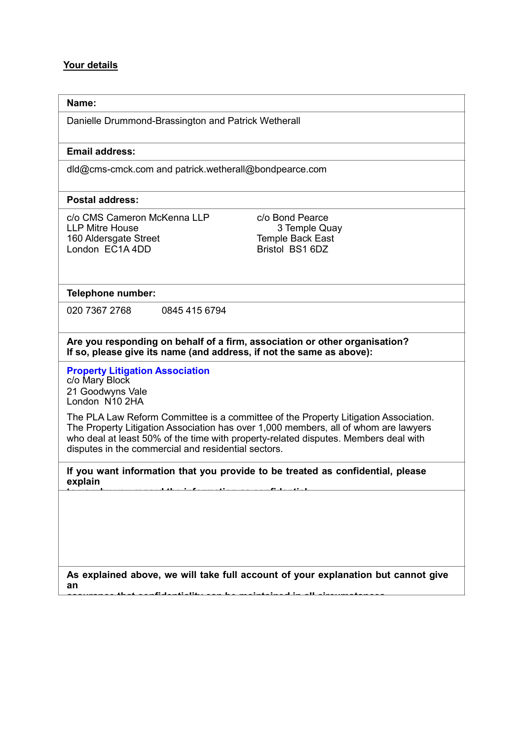# **Your details**

| Name:                                                                                                                                                                                                                                                                                                                    |                                                                                   |
|--------------------------------------------------------------------------------------------------------------------------------------------------------------------------------------------------------------------------------------------------------------------------------------------------------------------------|-----------------------------------------------------------------------------------|
| Danielle Drummond-Brassington and Patrick Wetherall                                                                                                                                                                                                                                                                      |                                                                                   |
| <b>Email address:</b>                                                                                                                                                                                                                                                                                                    |                                                                                   |
| dld@cms-cmck.com and patrick.wetherall@bondpearce.com                                                                                                                                                                                                                                                                    |                                                                                   |
| <b>Postal address:</b>                                                                                                                                                                                                                                                                                                   |                                                                                   |
| c/o CMS Cameron McKenna LLP<br><b>LLP Mitre House</b><br>160 Aldersgate Street<br>London EC1A 4DD                                                                                                                                                                                                                        | c/o Bond Pearce<br>3 Temple Quay<br>Temple Back East<br>Bristol BS1 6DZ           |
| Telephone number:                                                                                                                                                                                                                                                                                                        |                                                                                   |
| 020 7367 2768<br>0845 415 6794                                                                                                                                                                                                                                                                                           |                                                                                   |
| Are you responding on behalf of a firm, association or other organisation?<br>If so, please give its name (and address, if not the same as above):                                                                                                                                                                       |                                                                                   |
| <b>Property Litigation Association</b><br>c/o Mary Block<br>21 Goodwyns Vale<br>London N10 2HA                                                                                                                                                                                                                           |                                                                                   |
| The PLA Law Reform Committee is a committee of the Property Litigation Association.<br>The Property Litigation Association has over 1,000 members, all of whom are lawyers<br>who deal at least 50% of the time with property-related disputes. Members deal with<br>disputes in the commercial and residential sectors. |                                                                                   |
| If you want information that you provide to be treated as confidential, please<br>explain                                                                                                                                                                                                                                |                                                                                   |
|                                                                                                                                                                                                                                                                                                                          |                                                                                   |
| an                                                                                                                                                                                                                                                                                                                       | As explained above, we will take full account of your explanation but cannot give |

**assurance that confidentiality can be maintained in all circumstances.**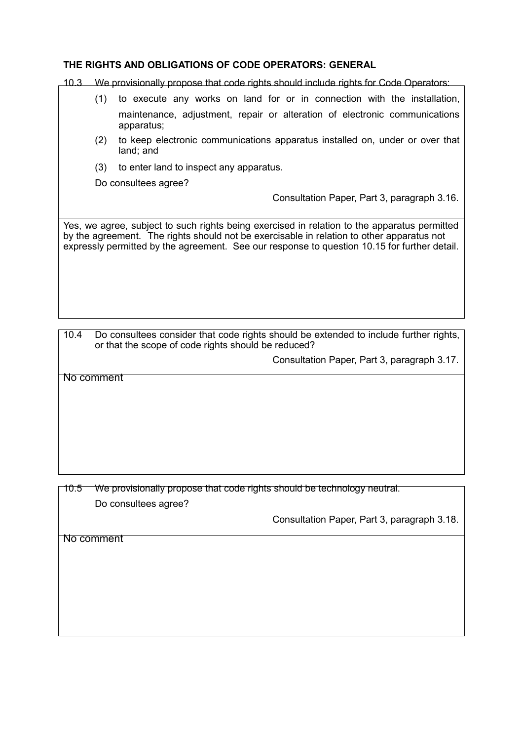# **THE RIGHTS AND OBLIGATIONS OF CODE OPERATORS: GENERAL**

10.3 We provisionally propose that code rights should include rights for Code Operators:

- (1) to execute any works on land for or in connection with the installation, maintenance, adjustment, repair or alteration of electronic communications apparatus;
- (2) to keep electronic communications apparatus installed on, under or over that land; and
- (3) to enter land to inspect any apparatus.

Do consultees agree?

Consultation Paper, Part 3, paragraph 3.16.

Yes, we agree, subject to such rights being exercised in relation to the apparatus permitted by the agreement. The rights should not be exercisable in relation to other apparatus not expressly permitted by the agreement. See our response to question 10.15 for further detail.

10.4 Do consultees consider that code rights should be extended to include further rights, or that the scope of code rights should be reduced?

Consultation Paper, Part 3, paragraph 3.17.

No comment

10.5 We provisionally propose that code rights should be technology neutral. Do consultees agree?

Consultation Paper, Part 3, paragraph 3.18.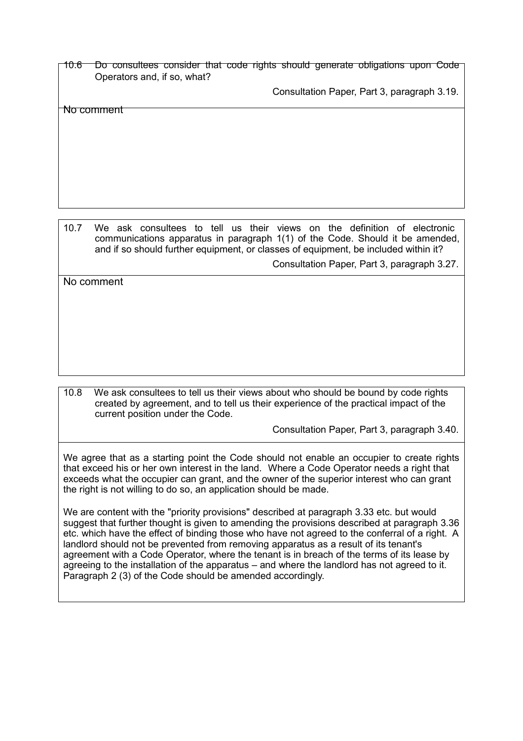10.6 Do consultees consider that code rights should generate obligations upon Code Operators and, if so, what?

Consultation Paper, Part 3, paragraph 3.19.

No comment

10.7 We ask consultees to tell us their views on the definition of electronic communications apparatus in paragraph 1(1) of the Code. Should it be amended, and if so should further equipment, or classes of equipment, be included within it?

Consultation Paper, Part 3, paragraph 3.27.

No comment

10.8 We ask consultees to tell us their views about who should be bound by code rights created by agreement, and to tell us their experience of the practical impact of the current position under the Code.

Consultation Paper, Part 3, paragraph 3.40.

We agree that as a starting point the Code should not enable an occupier to create rights that exceed his or her own interest in the land. Where a Code Operator needs a right that exceeds what the occupier can grant, and the owner of the superior interest who can grant the right is not willing to do so, an application should be made.

We are content with the "priority provisions" described at paragraph 3.33 etc. but would suggest that further thought is given to amending the provisions described at paragraph 3.36 etc. which have the effect of binding those who have not agreed to the conferral of a right. A landlord should not be prevented from removing apparatus as a result of its tenant's agreement with a Code Operator, where the tenant is in breach of the terms of its lease by agreeing to the installation of the apparatus – and where the landlord has not agreed to it. Paragraph 2 (3) of the Code should be amended accordingly.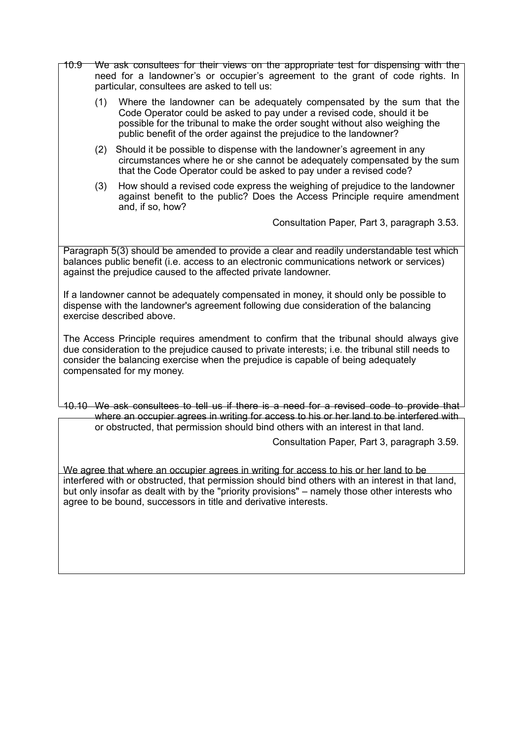- 10.9 We ask consultees for their views on the appropriate test for dispensing with the need for a landowner's or occupier's agreement to the grant of code rights. In particular, consultees are asked to tell us:
	- (1) Where the landowner can be adequately compensated by the sum that the Code Operator could be asked to pay under a revised code, should it be possible for the tribunal to make the order sought without also weighing the public benefit of the order against the prejudice to the landowner?
	- (2) Should it be possible to dispense with the landowner's agreement in any circumstances where he or she cannot be adequately compensated by the sum that the Code Operator could be asked to pay under a revised code?
	- (3) How should a revised code express the weighing of prejudice to the landowner against benefit to the public? Does the Access Principle require amendment and, if so, how?

Consultation Paper, Part 3, paragraph 3.53.

Paragraph 5(3) should be amended to provide a clear and readily understandable test which balances public benefit (i.e. access to an electronic communications network or services) against the prejudice caused to the affected private landowner.

If a landowner cannot be adequately compensated in money, it should only be possible to dispense with the landowner's agreement following due consideration of the balancing exercise described above.

The Access Principle requires amendment to confirm that the tribunal should always give due consideration to the prejudice caused to private interests; i.e. the tribunal still needs to consider the balancing exercise when the prejudice is capable of being adequately compensated for my money.

10.10 We ask consultees to tell us if there is a need for a revised code to provide that where an occupier agrees in writing for access to his or her land to be interfered with or obstructed, that permission should bind others with an interest in that land.

Consultation Paper, Part 3, paragraph 3.59.

We agree that where an occupier agrees in writing for access to his or her land to be interfered with or obstructed, that permission should bind others with an interest in that land, but only insofar as dealt with by the "priority provisions" – namely those other interests who agree to be bound, successors in title and derivative interests.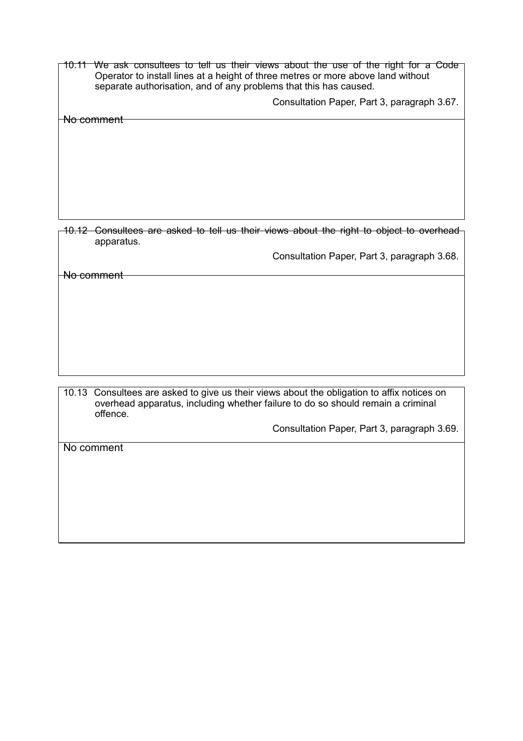10.11 We ask consultees to tell us their views about the use of the right for a Code Operator to install lines at a height of three metres or more above land without separate authorisation, and of any problems that this has caused.

Consultation Paper, Part 3, paragraph 3.67.

No comment

10.12 Consultees are asked to tell us their views about the right to object to overhead apparatus.

Consultation Paper, Part 3, paragraph 3.68.

No comment

10.13 Consultees are asked to give us their views about the obligation to affix notices on overhead apparatus, including whether failure to do so should remain a criminal offence.

Consultation Paper, Part 3, paragraph 3.69.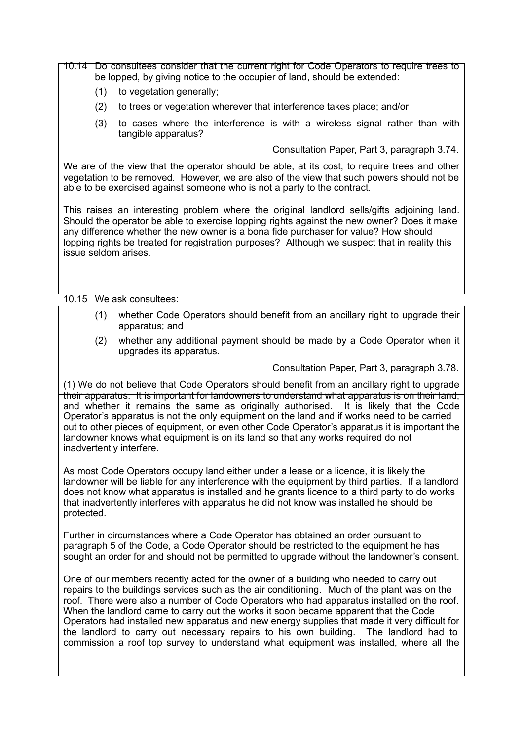10.14 Do consultees consider that the current right for Code Operators to require trees to be lopped, by giving notice to the occupier of land, should be extended:

- (1) to vegetation generally;
- (2) to trees or vegetation wherever that interference takes place; and/or
- (3) to cases where the interference is with a wireless signal rather than with tangible apparatus?

Consultation Paper, Part 3, paragraph 3.74.

We are of the view that the operator should be able, at its cost, to require trees and other vegetation to be removed. However, we are also of the view that such powers should not be able to be exercised against someone who is not a party to the contract.

This raises an interesting problem where the original landlord sells/gifts adjoining land. Should the operator be able to exercise lopping rights against the new owner? Does it make any difference whether the new owner is a bona fide purchaser for value? How should lopping rights be treated for registration purposes? Although we suspect that in reality this issue seldom arises.

10.15 We ask consultees:

- (1) whether Code Operators should benefit from an ancillary right to upgrade their apparatus; and
- (2) whether any additional payment should be made by a Code Operator when it upgrades its apparatus.

Consultation Paper, Part 3, paragraph 3.78.

(1) We do not believe that Code Operators should benefit from an ancillary right to upgrade their apparatus. It is important for landowners to understand what apparatus is on their land, and whether it remains the same as originally authorised. It is likely that the Code Operator's apparatus is not the only equipment on the land and if works need to be carried out to other pieces of equipment, or even other Code Operator's apparatus it is important the landowner knows what equipment is on its land so that any works required do not inadvertently interfere.

As most Code Operators occupy land either under a lease or a licence, it is likely the landowner will be liable for any interference with the equipment by third parties. If a landlord does not know what apparatus is installed and he grants licence to a third party to do works that inadvertently interferes with apparatus he did not know was installed he should be protected.

Further in circumstances where a Code Operator has obtained an order pursuant to paragraph 5 of the Code, a Code Operator should be restricted to the equipment he has sought an order for and should not be permitted to upgrade without the landowner's consent.

One of our members recently acted for the owner of a building who needed to carry out repairs to the buildings services such as the air conditioning. Much of the plant was on the roof. There were also a number of Code Operators who had apparatus installed on the roof. When the landlord came to carry out the works it soon became apparent that the Code Operators had installed new apparatus and new energy supplies that made it very difficult for the landlord to carry out necessary repairs to his own building. The landlord had to commission a roof top survey to understand what equipment was installed, where all the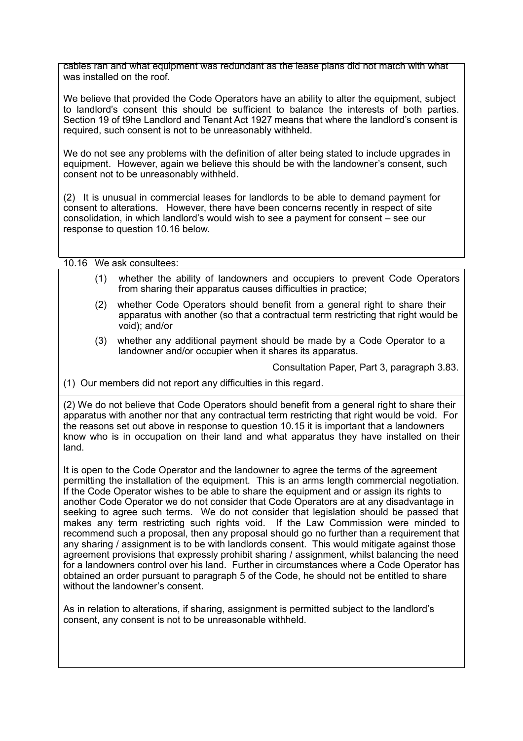cables ran and what equipment was redundant as the lease plans did not match with what was installed on the roof.

We believe that provided the Code Operators have an ability to alter the equipment, subject to landlord's consent this should be sufficient to balance the interests of both parties. Section 19 of t9he Landlord and Tenant Act 1927 means that where the landlord's consent is required, such consent is not to be unreasonably withheld.

We do not see any problems with the definition of alter being stated to include upgrades in equipment. However, again we believe this should be with the landowner's consent, such consent not to be unreasonably withheld.

(2) It is unusual in commercial leases for landlords to be able to demand payment for consent to alterations. However, there have been concerns recently in respect of site consolidation, in which landlord's would wish to see a payment for consent – see our response to question 10.16 below.

10.16 We ask consultees:

- (1) whether the ability of landowners and occupiers to prevent Code Operators from sharing their apparatus causes difficulties in practice;
- (2) whether Code Operators should benefit from a general right to share their apparatus with another (so that a contractual term restricting that right would be void); and/or
- (3) whether any additional payment should be made by a Code Operator to a landowner and/or occupier when it shares its apparatus.

Consultation Paper, Part 3, paragraph 3.83.

(1) Our members did not report any difficulties in this regard.

(2) We do not believe that Code Operators should benefit from a general right to share their apparatus with another nor that any contractual term restricting that right would be void. For the reasons set out above in response to question 10.15 it is important that a landowners know who is in occupation on their land and what apparatus they have installed on their land.

It is open to the Code Operator and the landowner to agree the terms of the agreement permitting the installation of the equipment. This is an arms length commercial negotiation. If the Code Operator wishes to be able to share the equipment and or assign its rights to another Code Operator we do not consider that Code Operators are at any disadvantage in seeking to agree such terms. We do not consider that legislation should be passed that makes any term restricting such rights void. If the Law Commission were minded to recommend such a proposal, then any proposal should go no further than a requirement that any sharing / assignment is to be with landlords consent. This would mitigate against those agreement provisions that expressly prohibit sharing / assignment, whilst balancing the need for a landowners control over his land. Further in circumstances where a Code Operator has obtained an order pursuant to paragraph 5 of the Code, he should not be entitled to share without the landowner's consent.

As in relation to alterations, if sharing, assignment is permitted subject to the landlord's consent, any consent is not to be unreasonable withheld.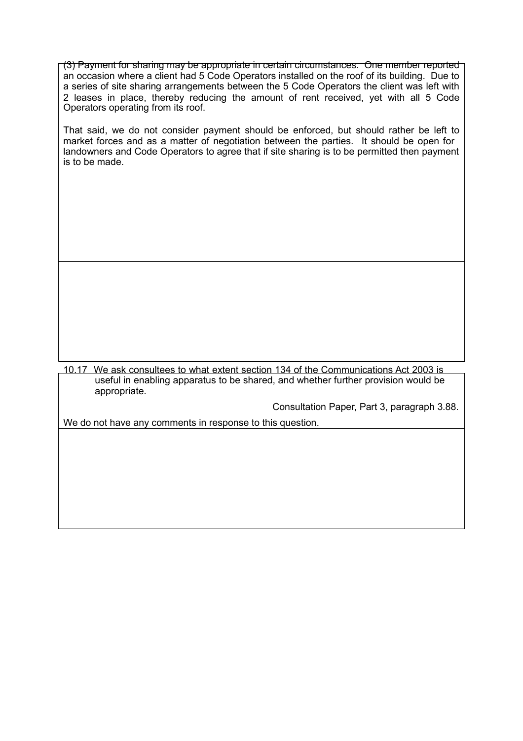(3) Payment for sharing may be appropriate in certain circumstances. One member reported an occasion where a client had 5 Code Operators installed on the roof of its building. Due to a series of site sharing arrangements between the 5 Code Operators the client was left with 2 leases in place, thereby reducing the amount of rent received, yet with all 5 Code Operators operating from its roof.

That said, we do not consider payment should be enforced, but should rather be left to market forces and as a matter of negotiation between the parties. It should be open for landowners and Code Operators to agree that if site sharing is to be permitted then payment is to be made.

10.17 We ask consultees to what extent section 134 of the Communications Act 2003 is useful in enabling apparatus to be shared, and whether further provision would be appropriate.

Consultation Paper, Part 3, paragraph 3.88.

We do not have any comments in response to this question.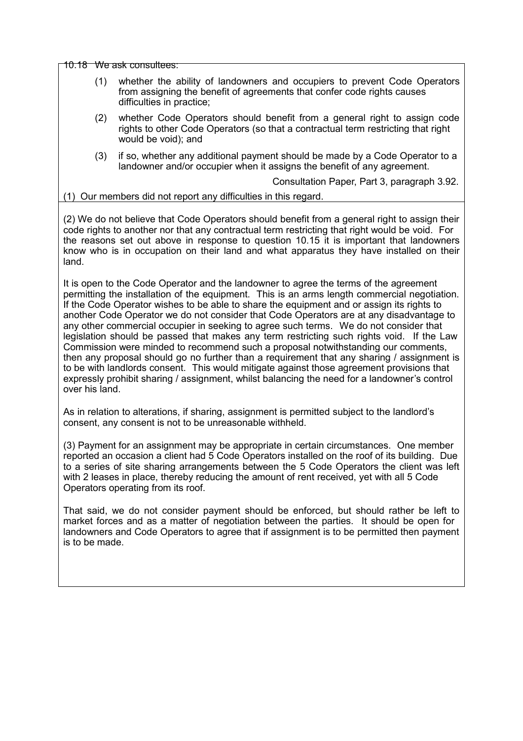10.18 We ask consultees:

- (1) whether the ability of landowners and occupiers to prevent Code Operators from assigning the benefit of agreements that confer code rights causes difficulties in practice;
- (2) whether Code Operators should benefit from a general right to assign code rights to other Code Operators (so that a contractual term restricting that right would be void); and
- (3) if so, whether any additional payment should be made by a Code Operator to a landowner and/or occupier when it assigns the benefit of any agreement.

Consultation Paper, Part 3, paragraph 3.92.

#### (1) Our members did not report any difficulties in this regard.

(2) We do not believe that Code Operators should benefit from a general right to assign their code rights to another nor that any contractual term restricting that right would be void. For the reasons set out above in response to question 10.15 it is important that landowners know who is in occupation on their land and what apparatus they have installed on their land.

It is open to the Code Operator and the landowner to agree the terms of the agreement permitting the installation of the equipment. This is an arms length commercial negotiation. If the Code Operator wishes to be able to share the equipment and or assign its rights to another Code Operator we do not consider that Code Operators are at any disadvantage to any other commercial occupier in seeking to agree such terms. We do not consider that legislation should be passed that makes any term restricting such rights void. If the Law Commission were minded to recommend such a proposal notwithstanding our comments, then any proposal should go no further than a requirement that any sharing / assignment is to be with landlords consent. This would mitigate against those agreement provisions that expressly prohibit sharing / assignment, whilst balancing the need for a landowner's control over his land.

As in relation to alterations, if sharing, assignment is permitted subject to the landlord's consent, any consent is not to be unreasonable withheld.

(3) Payment for an assignment may be appropriate in certain circumstances. One member reported an occasion a client had 5 Code Operators installed on the roof of its building. Due to a series of site sharing arrangements between the 5 Code Operators the client was left with 2 leases in place, thereby reducing the amount of rent received, yet with all 5 Code Operators operating from its roof.

That said, we do not consider payment should be enforced, but should rather be left to market forces and as a matter of negotiation between the parties. It should be open for landowners and Code Operators to agree that if assignment is to be permitted then payment is to be made.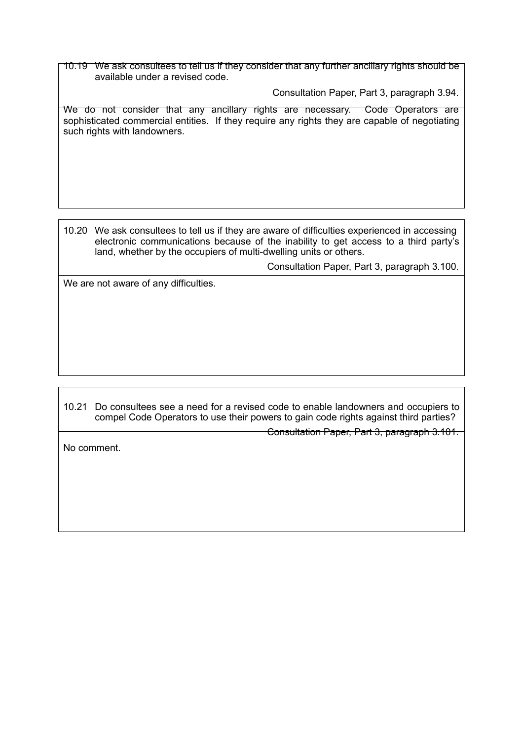10.19 We ask consultees to tell us if they consider that any further ancillary rights should be available under a revised code.

Consultation Paper, Part 3, paragraph 3.94.

We do not consider that any ancillary rights are necessary. Code Operators are sophisticated commercial entities. If they require any rights they are capable of negotiating such rights with landowners.

10.20 We ask consultees to tell us if they are aware of difficulties experienced in accessing electronic communications because of the inability to get access to a third party's land, whether by the occupiers of multi-dwelling units or others.

Consultation Paper, Part 3, paragraph 3.100.

We are not aware of any difficulties.

10.21 Do consultees see a need for a revised code to enable landowners and occupiers to compel Code Operators to use their powers to gain code rights against third parties?

Consultation Paper, Part 3, paragraph 3.101.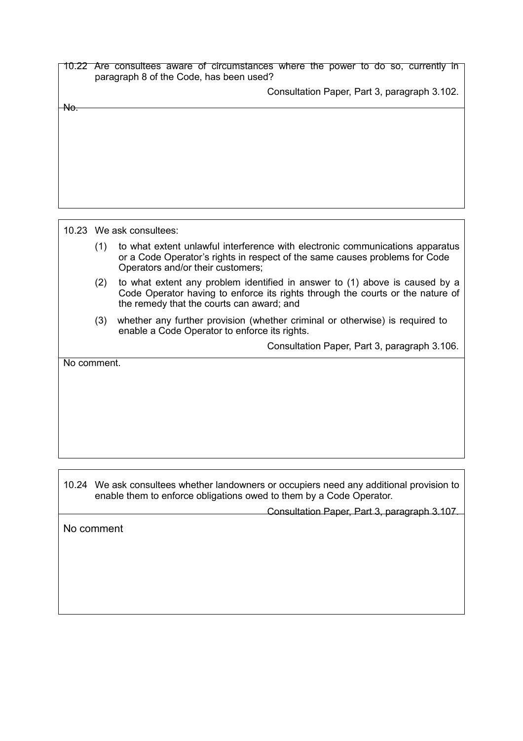|                | 10.22 Are consultees aware of circumstances where the power to do so, currently in<br>paragraph 8 of the Code, has been used?                                                                            |
|----------------|----------------------------------------------------------------------------------------------------------------------------------------------------------------------------------------------------------|
|                | Consultation Paper, Part 3, paragraph 3.102.                                                                                                                                                             |
| <del>No.</del> |                                                                                                                                                                                                          |
|                |                                                                                                                                                                                                          |
|                |                                                                                                                                                                                                          |
|                |                                                                                                                                                                                                          |
|                |                                                                                                                                                                                                          |
|                |                                                                                                                                                                                                          |
|                | 10.23 We ask consultees:                                                                                                                                                                                 |
|                | to what extent unlawful interference with electronic communications apparatus<br>(1)<br>or a Code Operator's rights in respect of the same causes problems for Code<br>Operators and/or their customers; |

- (2) to what extent any problem identified in answer to (1) above is caused by a Code Operator having to enforce its rights through the courts or the nature of the remedy that the courts can award; and
- (3) whether any further provision (whether criminal or otherwise) is required to enable a Code Operator to enforce its rights.

Consultation Paper, Part 3, paragraph 3.106.

No comment.

10.24 We ask consultees whether landowners or occupiers need any additional provision to enable them to enforce obligations owed to them by a Code Operator.

Consultation Paper, Part 3, paragraph 3.107.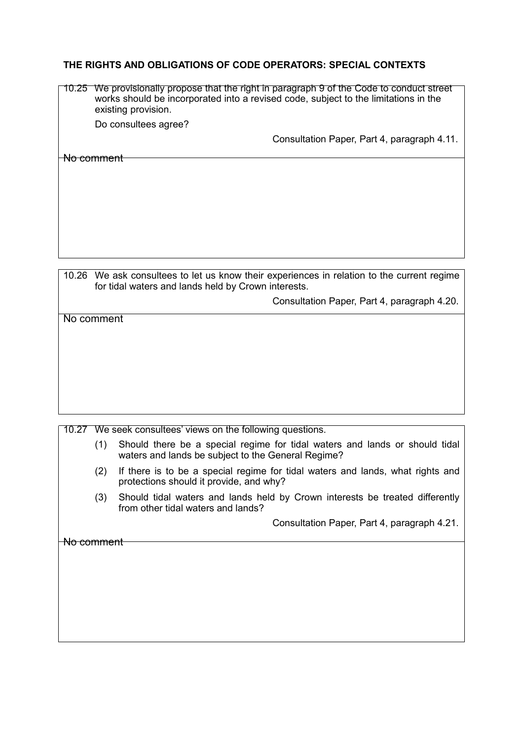# **THE RIGHTS AND OBLIGATIONS OF CODE OPERATORS: SPECIAL CONTEXTS**

| We provisionally propose that the right in paragraph 9 of the Code to conduct street<br>works should be incorporated into a revised code, subject to the limitations in the<br>existing provision. |
|----------------------------------------------------------------------------------------------------------------------------------------------------------------------------------------------------|
| Do consultees agree?                                                                                                                                                                               |
| Consultation Paper, Part 4, paragraph 4.11.                                                                                                                                                        |
|                                                                                                                                                                                                    |
|                                                                                                                                                                                                    |
|                                                                                                                                                                                                    |
|                                                                                                                                                                                                    |
|                                                                                                                                                                                                    |
|                                                                                                                                                                                                    |

10.26 We ask consultees to let us know their experiences in relation to the current regime for tidal waters and lands held by Crown interests.

Consultation Paper, Part 4, paragraph 4.20.

No comment

## 10.27 We seek consultees' views on the following questions.

- (1) Should there be a special regime for tidal waters and lands or should tidal waters and lands be subject to the General Regime?
- (2) If there is to be a special regime for tidal waters and lands, what rights and protections should it provide, and why?
- (3) Should tidal waters and lands held by Crown interests be treated differently from other tidal waters and lands?

Consultation Paper, Part 4, paragraph 4.21.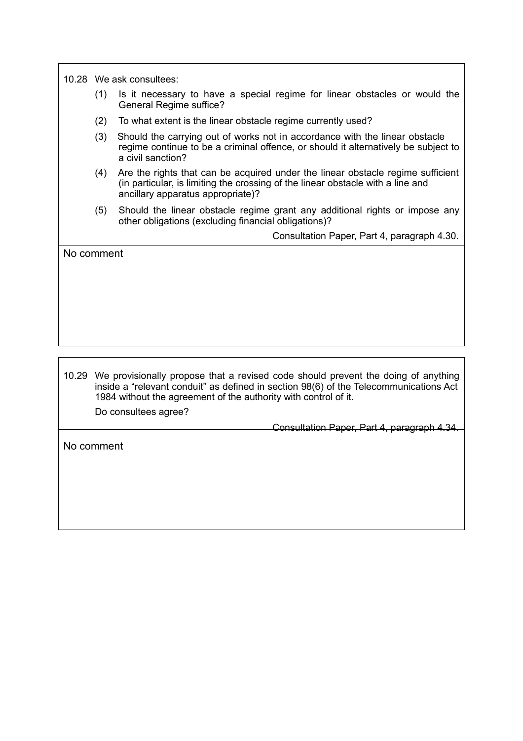10.28 We ask consultees:

- (1) Is it necessary to have a special regime for linear obstacles or would the General Regime suffice?
- (2) To what extent is the linear obstacle regime currently used?
- (3) Should the carrying out of works not in accordance with the linear obstacle regime continue to be a criminal offence, or should it alternatively be subject to a civil sanction?
- (4) Are the rights that can be acquired under the linear obstacle regime sufficient (in particular, is limiting the crossing of the linear obstacle with a line and ancillary apparatus appropriate)?
- (5) Should the linear obstacle regime grant any additional rights or impose any other obligations (excluding financial obligations)?

Consultation Paper, Part 4, paragraph 4.30.

No comment

10.29 We provisionally propose that a revised code should prevent the doing of anything inside a "relevant conduit" as defined in section 98(6) of the Telecommunications Act 1984 without the agreement of the authority with control of it.

Do consultees agree?

Consultation Paper, Part 4, paragraph 4.34.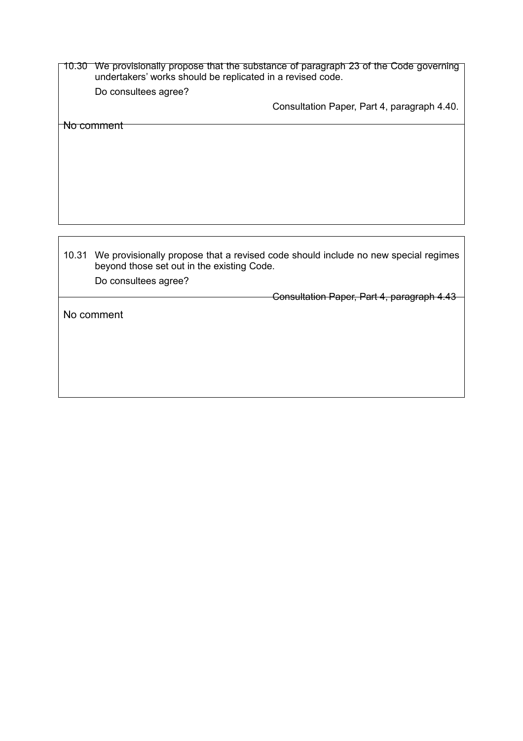10.30 We provisionally propose that the substance of paragraph 23 of the Code governing undertakers' works should be replicated in a revised code.

Do consultees agree?

Consultation Paper, Part 4, paragraph 4.40.

No comment

10.31 We provisionally propose that a revised code should include no new special regimes beyond those set out in the existing Code.

Do consultees agree?

Consultation Paper, Part 4, paragraph 4.43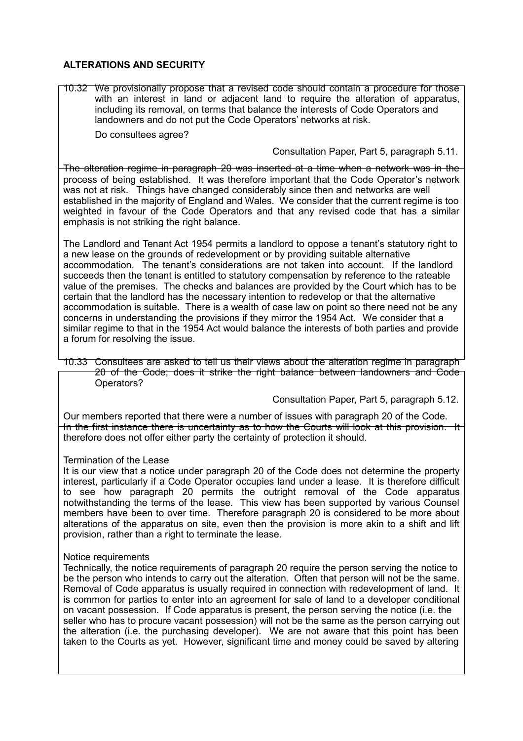# **ALTERATIONS AND SECURITY**

10.32 We provisionally propose that a revised code should contain a procedure for those with an interest in land or adjacent land to require the alteration of apparatus, including its removal, on terms that balance the interests of Code Operators and landowners and do not put the Code Operators' networks at risk.

Do consultees agree?

## Consultation Paper, Part 5, paragraph 5.11.

The alteration regime in paragraph 20 was inserted at a time when a network was in the process of being established. It was therefore important that the Code Operator's network was not at risk. Things have changed considerably since then and networks are well established in the majority of England and Wales. We consider that the current regime is too weighted in favour of the Code Operators and that any revised code that has a similar emphasis is not striking the right balance.

The Landlord and Tenant Act 1954 permits a landlord to oppose a tenant's statutory right to a new lease on the grounds of redevelopment or by providing suitable alternative accommodation. The tenant's considerations are not taken into account. If the landlord succeeds then the tenant is entitled to statutory compensation by reference to the rateable value of the premises. The checks and balances are provided by the Court which has to be certain that the landlord has the necessary intention to redevelop or that the alternative accommodation is suitable. There is a wealth of case law on point so there need not be any concerns in understanding the provisions if they mirror the 1954 Act. We consider that a similar regime to that in the 1954 Act would balance the interests of both parties and provide a forum for resolving the issue.

10.33 Consultees are asked to tell us their views about the alteration regime in paragraph 20 of the Code; does it strike the right balance between landowners and Code Operators?

Consultation Paper, Part 5, paragraph 5.12.

Our members reported that there were a number of issues with paragraph 20 of the Code. In the first instance there is uncertainty as to how the Courts will look at this provision. It therefore does not offer either party the certainty of protection it should.

## Termination of the Lease

It is our view that a notice under paragraph 20 of the Code does not determine the property interest, particularly if a Code Operator occupies land under a lease. It is therefore difficult to see how paragraph 20 permits the outright removal of the Code apparatus notwithstanding the terms of the lease. This view has been supported by various Counsel members have been to over time. Therefore paragraph 20 is considered to be more about alterations of the apparatus on site, even then the provision is more akin to a shift and lift provision, rather than a right to terminate the lease.

## Notice requirements

Technically, the notice requirements of paragraph 20 require the person serving the notice to be the person who intends to carry out the alteration. Often that person will not be the same. Removal of Code apparatus is usually required in connection with redevelopment of land. It is common for parties to enter into an agreement for sale of land to a developer conditional on vacant possession. If Code apparatus is present, the person serving the notice (i.e. the seller who has to procure vacant possession) will not be the same as the person carrying out the alteration (i.e. the purchasing developer). We are not aware that this point has been taken to the Courts as yet. However, significant time and money could be saved by altering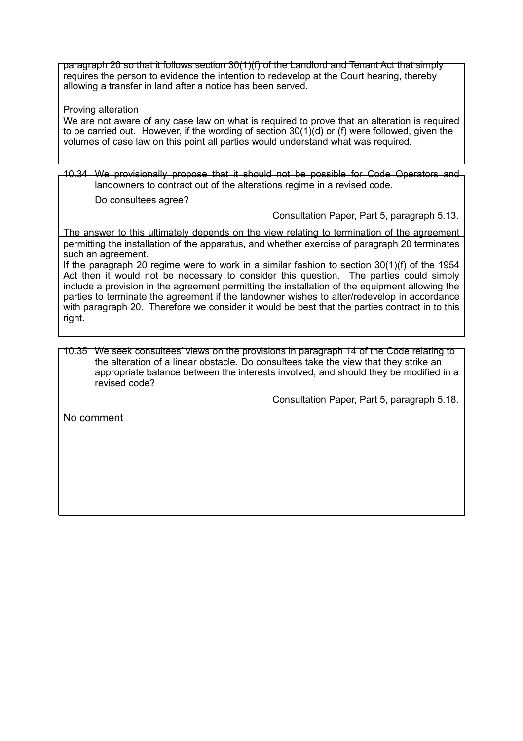paragraph 20 so that it follows section 30(1)(f) of the Landlord and Tenant Act that simply requires the person to evidence the intention to redevelop at the Court hearing, thereby allowing a transfer in land after a notice has been served.

Proving alteration

We are not aware of any case law on what is required to prove that an alteration is required to be carried out. However, if the wording of section 30(1)(d) or (f) were followed, given the volumes of case law on this point all parties would understand what was required.

10.34 We provisionally propose that it should not be possible for Code Operators and landowners to contract out of the alterations regime in a revised code.

Do consultees agree?

Consultation Paper, Part 5, paragraph 5.13.

The answer to this ultimately depends on the view relating to termination of the agreement permitting the installation of the apparatus, and whether exercise of paragraph 20 terminates such an agreement.

If the paragraph 20 regime were to work in a similar fashion to section  $30(1)(f)$  of the 1954 Act then it would not be necessary to consider this question. The parties could simply include a provision in the agreement permitting the installation of the equipment allowing the parties to terminate the agreement if the landowner wishes to alter/redevelop in accordance with paragraph 20. Therefore we consider it would be best that the parties contract in to this right.

10.35 We seek consultees' views on the provisions in paragraph 14 of the Code relating to the alteration of a linear obstacle. Do consultees take the view that they strike an appropriate balance between the interests involved, and should they be modified in a revised code?

Consultation Paper, Part 5, paragraph 5.18.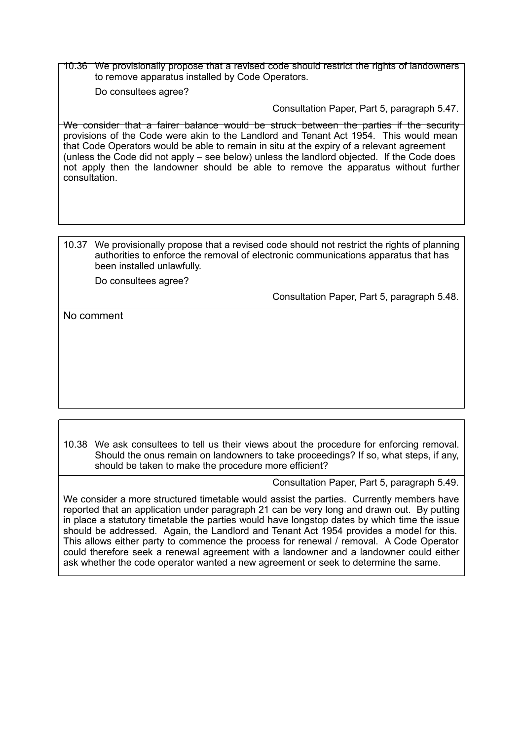10.36 We provisionally propose that a revised code should restrict the rights of landowners to remove apparatus installed by Code Operators.

Do consultees agree?

Consultation Paper, Part 5, paragraph 5.47.

We consider that a fairer balance would be struck between the parties if the security provisions of the Code were akin to the Landlord and Tenant Act 1954. This would mean that Code Operators would be able to remain in situ at the expiry of a relevant agreement (unless the Code did not apply – see below) unless the landlord objected. If the Code does not apply then the landowner should be able to remove the apparatus without further consultation.

10.37 We provisionally propose that a revised code should not restrict the rights of planning authorities to enforce the removal of electronic communications apparatus that has been installed unlawfully.

Do consultees agree?

Consultation Paper, Part 5, paragraph 5.48.

No comment

10.38 We ask consultees to tell us their views about the procedure for enforcing removal. Should the onus remain on landowners to take proceedings? If so, what steps, if any, should be taken to make the procedure more efficient?

Consultation Paper, Part 5, paragraph 5.49.

We consider a more structured timetable would assist the parties. Currently members have reported that an application under paragraph 21 can be very long and drawn out. By putting in place a statutory timetable the parties would have longstop dates by which time the issue should be addressed. Again, the Landlord and Tenant Act 1954 provides a model for this. This allows either party to commence the process for renewal / removal. A Code Operator could therefore seek a renewal agreement with a landowner and a landowner could either ask whether the code operator wanted a new agreement or seek to determine the same.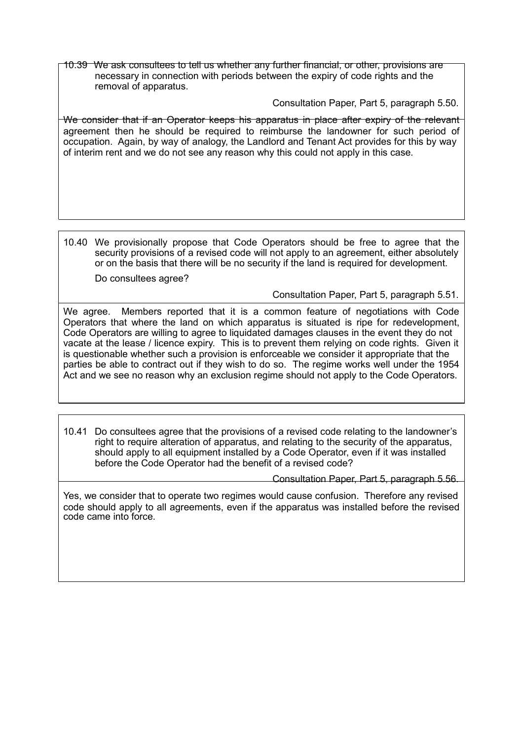10.39 We ask consultees to tell us whether any further financial, or other, provisions are necessary in connection with periods between the expiry of code rights and the removal of apparatus.

Consultation Paper, Part 5, paragraph 5.50.

We consider that if an Operator keeps his apparatus in place after expiry of the relevant agreement then he should be required to reimburse the landowner for such period of occupation. Again, by way of analogy, the Landlord and Tenant Act provides for this by way of interim rent and we do not see any reason why this could not apply in this case.

10.40 We provisionally propose that Code Operators should be free to agree that the security provisions of a revised code will not apply to an agreement, either absolutely or on the basis that there will be no security if the land is required for development.

Do consultees agree?

Consultation Paper, Part 5, paragraph 5.51.

We agree. Members reported that it is a common feature of negotiations with Code Operators that where the land on which apparatus is situated is ripe for redevelopment, Code Operators are willing to agree to liquidated damages clauses in the event they do not vacate at the lease / licence expiry. This is to prevent them relying on code rights. Given it is questionable whether such a provision is enforceable we consider it appropriate that the parties be able to contract out if they wish to do so. The regime works well under the 1954 Act and we see no reason why an exclusion regime should not apply to the Code Operators.

10.41 Do consultees agree that the provisions of a revised code relating to the landowner's right to require alteration of apparatus, and relating to the security of the apparatus, should apply to all equipment installed by a Code Operator, even if it was installed before the Code Operator had the benefit of a revised code?

Consultation Paper, Part 5, paragraph 5.56.

Yes, we consider that to operate two regimes would cause confusion. Therefore any revised code should apply to all agreements, even if the apparatus was installed before the revised code came into force.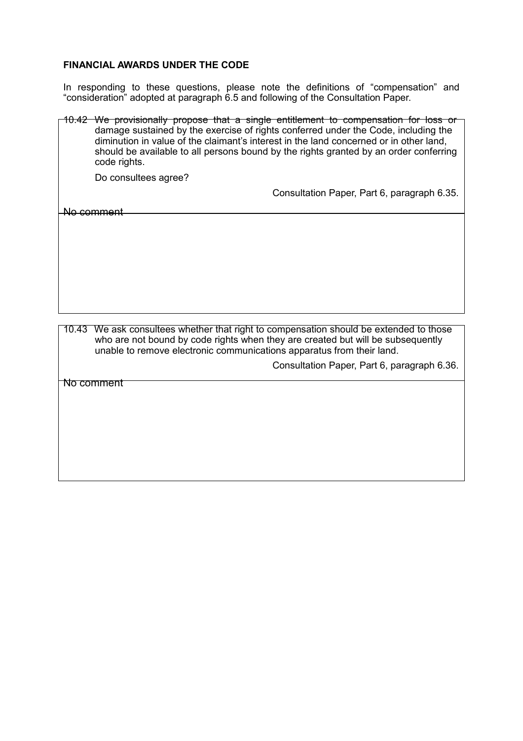#### **FINANCIAL AWARDS UNDER THE CODE**

In responding to these questions, please note the definitions of "compensation" and "consideration" adopted at paragraph 6.5 and following of the Consultation Paper.

10.42 We provisionally propose that a single entitlement to compensation for loss or damage sustained by the exercise of rights conferred under the Code, including the diminution in value of the claimant's interest in the land concerned or in other land, should be available to all persons bound by the rights granted by an order conferring code rights. Do consultees agree? No comment Consultation Paper, Part 6, paragraph 6.35. 10.43 We ask consultees whether that right to compensation should be extended to those who are not bound by code rights when they are created but will be subsequently unable to remove electronic communications apparatus from their land. Consultation Paper, Part 6, paragraph 6.36. No comment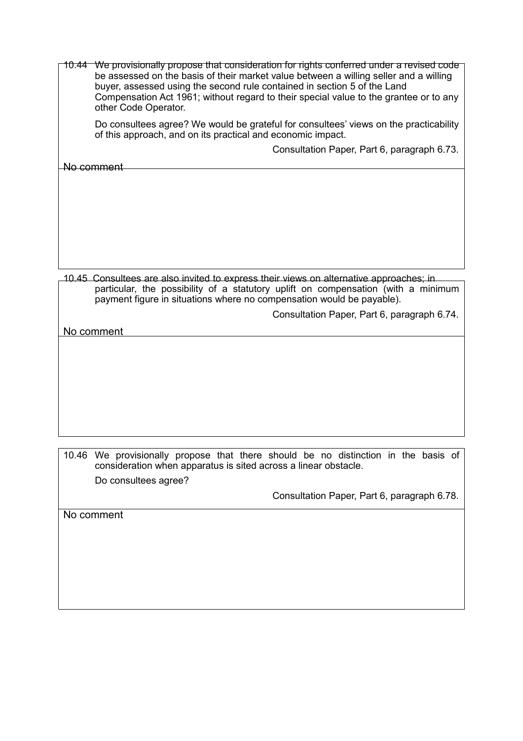| 10.44 | We provisionally propose that consideration for rights conferred under a revised code<br>be assessed on the basis of their market value between a willing seller and a willing<br>buyer, assessed using the second rule contained in section 5 of the Land<br>Compensation Act 1961; without regard to their special value to the grantee or to any<br>other Code Operator. |
|-------|-----------------------------------------------------------------------------------------------------------------------------------------------------------------------------------------------------------------------------------------------------------------------------------------------------------------------------------------------------------------------------|
|       | Do consultees agree? We would be grateful for consultees' views on the practicability<br>of this approach, and on its practical and economic impact.                                                                                                                                                                                                                        |
|       | Consultation Paper, Part 6, paragraph 6.73.                                                                                                                                                                                                                                                                                                                                 |
|       | No comment                                                                                                                                                                                                                                                                                                                                                                  |
|       |                                                                                                                                                                                                                                                                                                                                                                             |
|       |                                                                                                                                                                                                                                                                                                                                                                             |
|       |                                                                                                                                                                                                                                                                                                                                                                             |
|       |                                                                                                                                                                                                                                                                                                                                                                             |
|       |                                                                                                                                                                                                                                                                                                                                                                             |
|       |                                                                                                                                                                                                                                                                                                                                                                             |
|       | 10.45 Consultees are also invited to express their views on alternative approaches; in<br>particular, the possibility of a statutory uplift on compensation (with a minimum<br>payment figure in situations where no compensation would be payable).                                                                                                                        |
|       | Consultation Paper, Part 6, paragraph 6.74.                                                                                                                                                                                                                                                                                                                                 |
|       | No comment                                                                                                                                                                                                                                                                                                                                                                  |
|       |                                                                                                                                                                                                                                                                                                                                                                             |

10.46 We provisionally propose that there should be no distinction in the basis of consideration when apparatus is sited across a linear obstacle.

Do consultees agree?

Consultation Paper, Part 6, paragraph 6.78.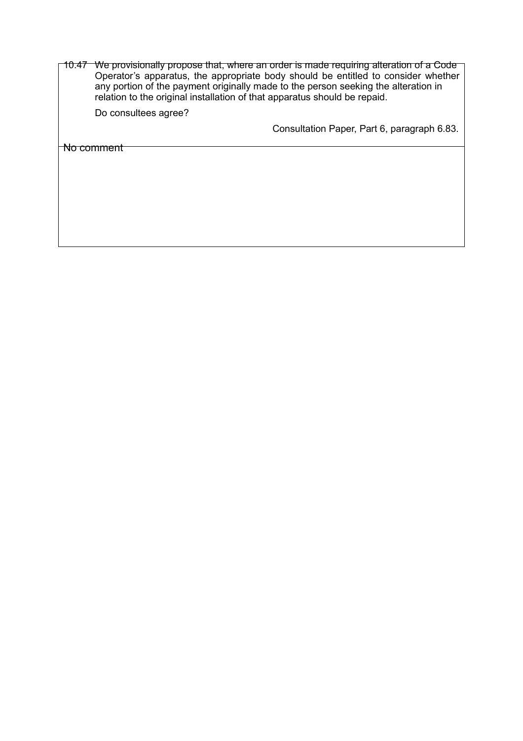| 10.47 We provisionally propose that, where an order is made requiring alteration of a Code                                                                      |
|-----------------------------------------------------------------------------------------------------------------------------------------------------------------|
| Operator's apparatus, the appropriate body should be entitled to consider whether                                                                               |
| any portion of the payment originally made to the person seeking the alteration in<br>relation to the original installation of that apparatus should be repaid. |
| Do consultees agree?                                                                                                                                            |

Consultation Paper, Part 6, paragraph 6.83.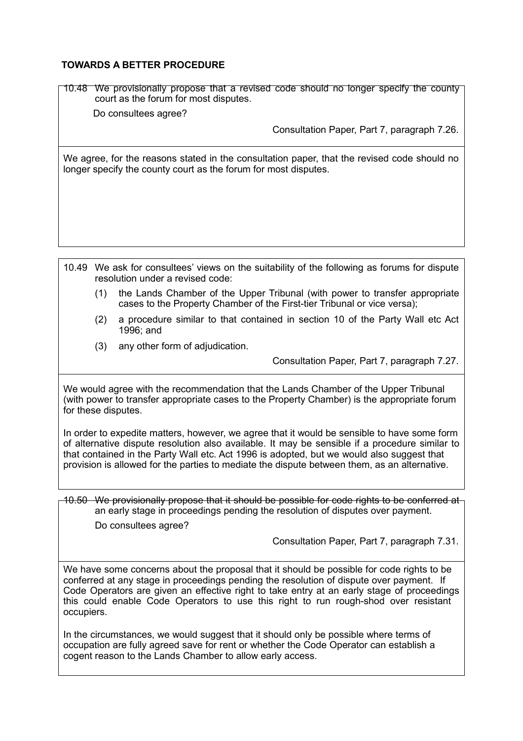# **TOWARDS A BETTER PROCEDURE**

10.48 We provisionally propose that a revised code should no longer specify the county court as the forum for most disputes.

Do consultees agree?

Consultation Paper, Part 7, paragraph 7.26.

We agree, for the reasons stated in the consultation paper, that the revised code should no longer specify the county court as the forum for most disputes.

10.49 We ask for consultees' views on the suitability of the following as forums for dispute resolution under a revised code:

- (1) the Lands Chamber of the Upper Tribunal (with power to transfer appropriate cases to the Property Chamber of the First-tier Tribunal or vice versa);
- (2) a procedure similar to that contained in section 10 of the Party Wall etc Act 1996; and
- (3) any other form of adjudication.

Consultation Paper, Part 7, paragraph 7.27.

We would agree with the recommendation that the Lands Chamber of the Upper Tribunal (with power to transfer appropriate cases to the Property Chamber) is the appropriate forum for these disputes.

In order to expedite matters, however, we agree that it would be sensible to have some form of alternative dispute resolution also available. It may be sensible if a procedure similar to that contained in the Party Wall etc. Act 1996 is adopted, but we would also suggest that provision is allowed for the parties to mediate the dispute between them, as an alternative.

10.50 We provisionally propose that it should be possible for code rights to be conferred at an early stage in proceedings pending the resolution of disputes over payment.

Do consultees agree?

Consultation Paper, Part 7, paragraph 7.31.

We have some concerns about the proposal that it should be possible for code rights to be conferred at any stage in proceedings pending the resolution of dispute over payment. If Code Operators are given an effective right to take entry at an early stage of proceedings this could enable Code Operators to use this right to run rough-shod over resistant occupiers.

In the circumstances, we would suggest that it should only be possible where terms of occupation are fully agreed save for rent or whether the Code Operator can establish a cogent reason to the Lands Chamber to allow early access.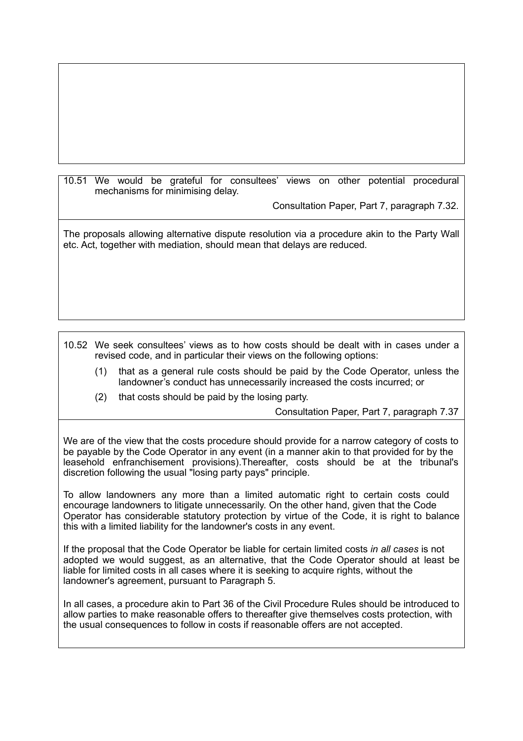10.51 We would be grateful for consultees' views on other potential procedural mechanisms for minimising delay.

Consultation Paper, Part 7, paragraph 7.32.

The proposals allowing alternative dispute resolution via a procedure akin to the Party Wall etc. Act, together with mediation, should mean that delays are reduced.

10.52 We seek consultees' views as to how costs should be dealt with in cases under a revised code, and in particular their views on the following options:

- (1) that as a general rule costs should be paid by the Code Operator, unless the landowner's conduct has unnecessarily increased the costs incurred; or
- (2) that costs should be paid by the losing party.

Consultation Paper, Part 7, paragraph 7.37

We are of the view that the costs procedure should provide for a narrow category of costs to be payable by the Code Operator in any event (in a manner akin to that provided for by the leasehold enfranchisement provisions).Thereafter, costs should be at the tribunal's discretion following the usual "losing party pays" principle.

To allow landowners any more than a limited automatic right to certain costs could encourage landowners to litigate unnecessarily. On the other hand, given that the Code Operator has considerable statutory protection by virtue of the Code, it is right to balance this with a limited liability for the landowner's costs in any event.

If the proposal that the Code Operator be liable for certain limited costs *in all cases* is not adopted we would suggest, as an alternative, that the Code Operator should at least be liable for limited costs in all cases where it is seeking to acquire rights, without the landowner's agreement, pursuant to Paragraph 5.

In all cases, a procedure akin to Part 36 of the Civil Procedure Rules should be introduced to allow parties to make reasonable offers to thereafter give themselves costs protection, with the usual consequences to follow in costs if reasonable offers are not accepted.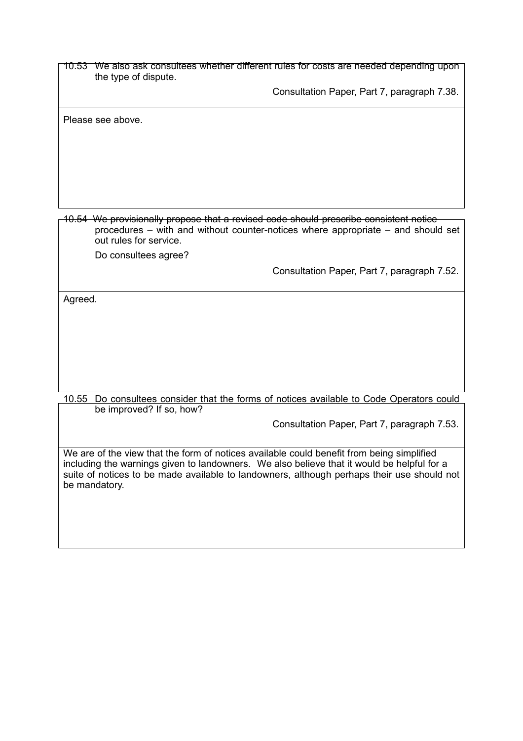10.53 We also ask consultees whether different rules for costs are needed depending upon the type of dispute.

Consultation Paper, Part 7, paragraph 7.38.

Please see above.

10.54 We provisionally propose that a revised code should prescribe consistent notice procedures – with and without counter-notices where appropriate – and should set out rules for service.

Do consultees agree?

Consultation Paper, Part 7, paragraph 7.52.

Agreed.

10.55 Do consultees consider that the forms of notices available to Code Operators could be improved? If so, how?

Consultation Paper, Part 7, paragraph 7.53.

We are of the view that the form of notices available could benefit from being simplified including the warnings given to landowners. We also believe that it would be helpful for a suite of notices to be made available to landowners, although perhaps their use should not be mandatory.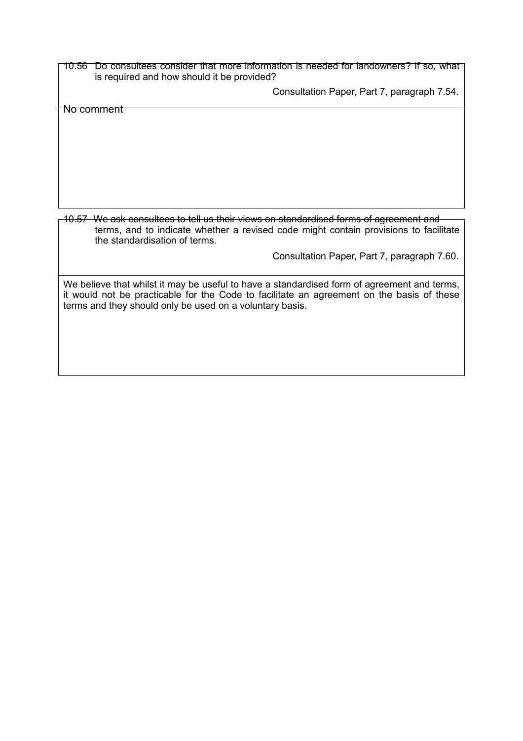10.56 Do consultees consider that more information is needed for landowners? If so, what is required and how should it be provided?

Consultation Paper, Part 7, paragraph 7.54.

No comment

10.57 We ask consultees to tell us their views on standardised forms of agreement and terms, and to indicate whether a revised code might contain provisions to facilitate the standardisation of terms.

Consultation Paper, Part 7, paragraph 7.60.

We believe that whilst it may be useful to have a standardised form of agreement and terms, it would not be practicable for the Code to facilitate an agreement on the basis of these terms and they should only be used on a voluntary basis.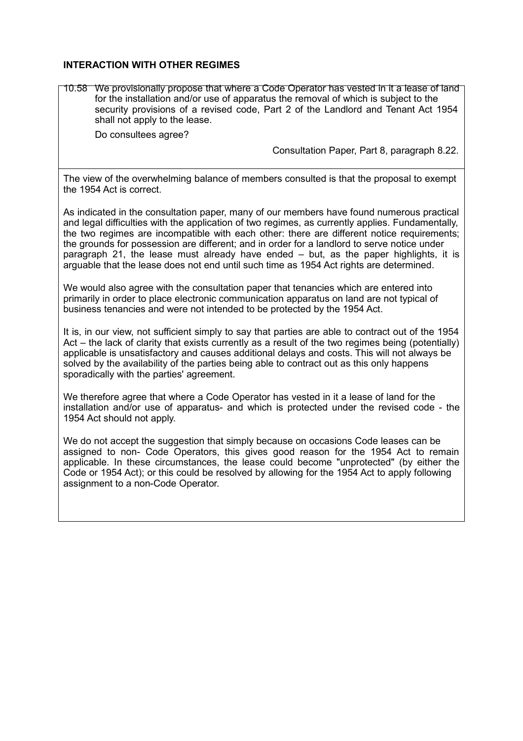#### **INTERACTION WITH OTHER REGIMES**

10.58 We provisionally propose that where a Code Operator has vested in it a lease of land for the installation and/or use of apparatus the removal of which is subject to the security provisions of a revised code, Part 2 of the Landlord and Tenant Act 1954 shall not apply to the lease.

Do consultees agree?

Consultation Paper, Part 8, paragraph 8.22.

The view of the overwhelming balance of members consulted is that the proposal to exempt the 1954 Act is correct.

As indicated in the consultation paper, many of our members have found numerous practical and legal difficulties with the application of two regimes, as currently applies. Fundamentally, the two regimes are incompatible with each other: there are different notice requirements; the grounds for possession are different; and in order for a landlord to serve notice under paragraph 21, the lease must already have ended – but, as the paper highlights, it is arguable that the lease does not end until such time as 1954 Act rights are determined.

We would also agree with the consultation paper that tenancies which are entered into primarily in order to place electronic communication apparatus on land are not typical of business tenancies and were not intended to be protected by the 1954 Act.

It is, in our view, not sufficient simply to say that parties are able to contract out of the 1954 Act – the lack of clarity that exists currently as a result of the two regimes being (potentially) applicable is unsatisfactory and causes additional delays and costs. This will not always be solved by the availability of the parties being able to contract out as this only happens sporadically with the parties' agreement.

We therefore agree that where a Code Operator has vested in it a lease of land for the installation and/or use of apparatus- and which is protected under the revised code - the 1954 Act should not apply.

We do not accept the suggestion that simply because on occasions Code leases can be assigned to non- Code Operators, this gives good reason for the 1954 Act to remain applicable. In these circumstances, the lease could become "unprotected" (by either the Code or 1954 Act); or this could be resolved by allowing for the 1954 Act to apply following assignment to a non-Code Operator.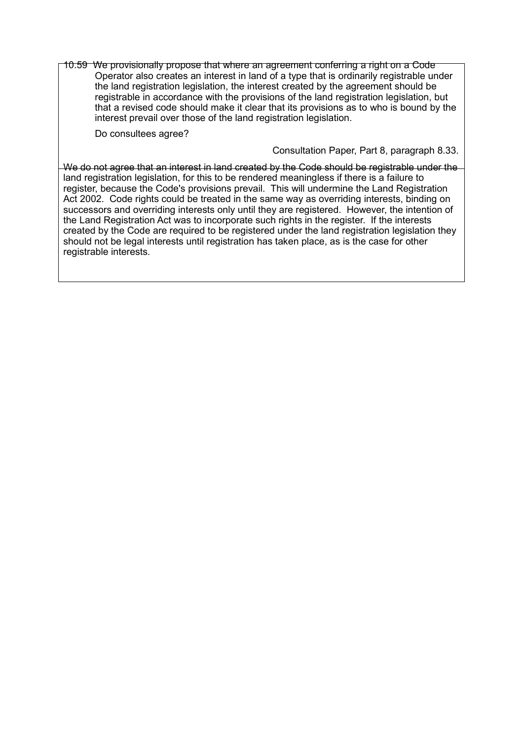10.59 We provisionally propose that where an agreement conferring a right on a Code Operator also creates an interest in land of a type that is ordinarily registrable under the land registration legislation, the interest created by the agreement should be registrable in accordance with the provisions of the land registration legislation, but that a revised code should make it clear that its provisions as to who is bound by the interest prevail over those of the land registration legislation.

Do consultees agree?

Consultation Paper, Part 8, paragraph 8.33.

We do not agree that an interest in land created by the Code should be registrable under the land registration legislation, for this to be rendered meaningless if there is a failure to register, because the Code's provisions prevail. This will undermine the Land Registration Act 2002. Code rights could be treated in the same way as overriding interests, binding on successors and overriding interests only until they are registered. However, the intention of the Land Registration Act was to incorporate such rights in the register. If the interests created by the Code are required to be registered under the land registration legislation they should not be legal interests until registration has taken place, as is the case for other registrable interests.